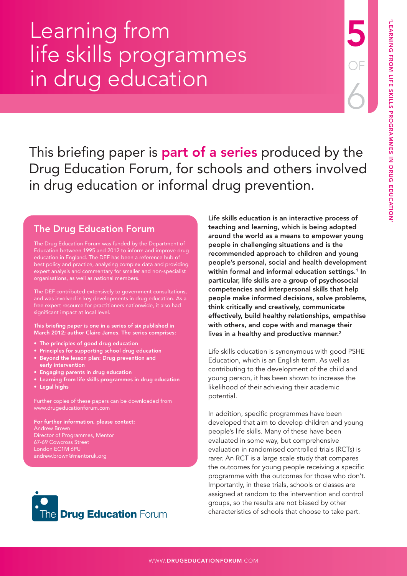# Learning from life skills programmes in drug education

This briefing paper is **part of a series** produced by the Drug Education Forum, for schools and others involved in drug education or informal drug prevention.

# The Drug Education Forum

The Drug Education Forum was funded by the Department of Education between 1995 and 2012 to inform and improve drug education in England. The DEF has been a reference hub of best policy and practice, analysing complex data and providing expert analysis and commentary for smaller and non-specialist organisations, as well as national members.

The DEF contributed extensively to government consultations, and was involved in key developments in drug education. As a free expert resource for practitioners nationwide, it also had significant impact at local level.

This briefing paper is one in a series of six published in March 2012; author Claire James. The series comprises:

- The principles of good drug education
- Principles for supporting school drug education
- Beyond the lesson plan: Drug prevention and early intervention
- Engaging parents in drug education
- Learning from life skills programmes in drug education
- Legal highs

Further copies of these papers can be downloaded from [www.drugeducationforum.com](http://www.drugeducationforum.com) 

For further information, please contact: Andrew Brown Director of Programmes, Mentor London EC1M 6PU [andrew.brown@mentoruk.org](mailto:andrew.brown@mentoruk.org)



Life skills education is an interactive process of teaching and learning, which is being adopted around the world as a means to empower young people in challenging situations and is the recommended approach to children and young people's personal, social and health development within formal and informal education settings.<sup>1</sup> In particular, life skills are a group of psychosocial competencies and interpersonal skills that help people make informed decisions, solve problems, think critically and creatively, communicate effectively, build healthy relationships, empathise with others, and cope with and manage their lives in a healthy and productive manner.<sup>2</sup>

Life skills education is synonymous with good PSHE Education, which is an English term. As well as contributing to the development of the child and young person, it has been shown to increase the likelihood of their achieving their academic potential.

In addition, specific programmes have been developed that aim to develop children and young people's life skills. Many of these have been evaluated in some way, but comprehensive evaluation in randomised controlled trials (RCTs) is rarer. An RCT is a large scale study that compares the outcomes for young people receiving a specific programme with the outcomes for those who don't. Importantly, in these trials, schools or classes are assigned at random to the intervention and control groups, so the results are not biased by other characteristics of schools that choose to take part.

5

OF

6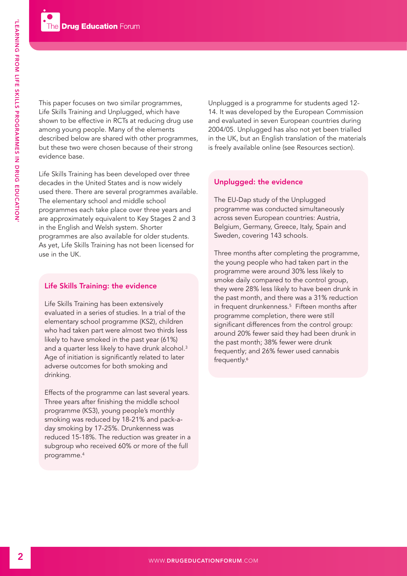This paper focuses on two similar programmes, Life Skills Training and Unplugged, which have shown to be effective in RCTs at reducing drug use among young people. Many of the elements described below are shared with other programmes, but these two were chosen because of their strong evidence base.

Life Skills Training has been developed over three decades in the United States and is now widely used there. There are several programmes available. The elementary school and middle school programmes each take place over three years and are approximately equivalent to Key Stages 2 and 3 in the English and Welsh system. Shorter programmes are also available for older students. As yet, Life Skills Training has not been licensed for use in the UK.

## Life Skills Training: the evidence

Life Skills Training has been extensively evaluated in a series of studies. In a trial of the elementary school programme (KS2), children who had taken part were almost two thirds less likely to have smoked in the past year (61%) and a quarter less likely to have drunk alcohol.<sup>3</sup> Age of initiation is significantly related to later adverse outcomes for both smoking and drinking.

Effects of the programme can last several years. Three years after finishing the middle school programme (KS3), young people's monthly smoking was reduced by 18-21% and pack-aday smoking by 17-25%. Drunkenness was reduced 15-18%. The reduction was greater in a subgroup who received 60% or more of the full programme.4

Unplugged is a programme for students aged 12- 14. It was developed by the European Commission and evaluated in seven European countries during 2004/05. Unplugged has also not yet been trialled in the UK, but an English translation of the materials is freely available online (see Resources section).

# Unplugged: the evidence

The EU-Dap study of the Unplugged programme was conducted simultaneously across seven European countries: Austria, Belgium, Germany, Greece, Italy, Spain and Sweden, covering 143 schools.

Three months after completing the programme, the young people who had taken part in the programme were around 30% less likely to smoke daily compared to the control group, they were 28% less likely to have been drunk in the past month, and there was a 31% reduction in frequent drunkenness.5 Fifteen months after programme completion, there were still significant differences from the control group: around 20% fewer said they had been drunk in the past month; 38% fewer were drunk frequently; and 26% fewer used cannabis frequently.<sup>6</sup>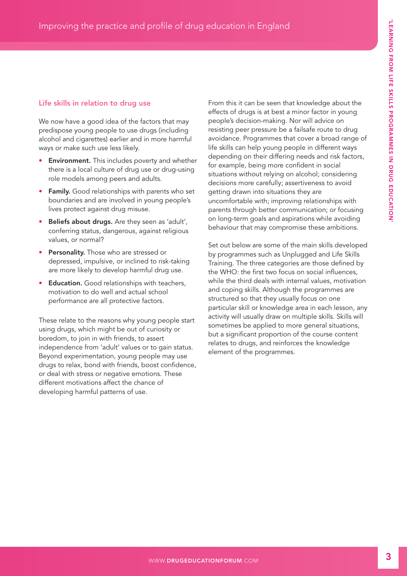## Life skills in relation to drug use

We now have a good idea of the factors that may predispose young people to use drugs (including alcohol and cigarettes) earlier and in more harmful ways or make such use less likely.

- **Environment.** This includes poverty and whether there is a local culture of drug use or drug-using role models among peers and adults.
- Family. Good relationships with parents who set boundaries and are involved in young people's lives protect against drug misuse.
- Beliefs about drugs. Are they seen as 'adult', conferring status, dangerous, against religious values, or normal?
- Personality. Those who are stressed or depressed, impulsive, or inclined to risk-taking are more likely to develop harmful drug use.
- **Education.** Good relationships with teachers, motivation to do well and actual school performance are all protective factors.

These relate to the reasons why young people start using drugs, which might be out of curiosity or boredom, to join in with friends, to assert independence from 'adult' values or to gain status. Beyond experimentation, young people may use drugs to relax, bond with friends, boost confidence, or deal with stress or negative emotions. These different motivations affect the chance of developing harmful patterns of use.

From this it can be seen that knowledge about the effects of drugs is at best a minor factor in young people's decision-making. Nor will advice on resisting peer pressure be a failsafe route to drug avoidance. Programmes that cover a broad range of life skills can help young people in different ways depending on their differing needs and risk factors, for example, being more confident in social situations without relying on alcohol; considering decisions more carefully; assertiveness to avoid getting drawn into situations they are uncomfortable with; improving relationships with parents through better communication; or focusing on long-term goals and aspirations while avoiding behaviour that may compromise these ambitions.

Set out below are some of the main skills developed by programmes such as Unplugged and Life Skills Training. The three categories are those defined by the WHO: the first two focus on social influences, while the third deals with internal values, motivation and coping skills. Although the programmes are structured so that they usually focus on one particular skill or knowledge area in each lesson, any activity will usually draw on multiple skills. Skills will sometimes be applied to more general situations, but a significant proportion of the course content relates to drugs, and reinforces the knowledge element of the programmes.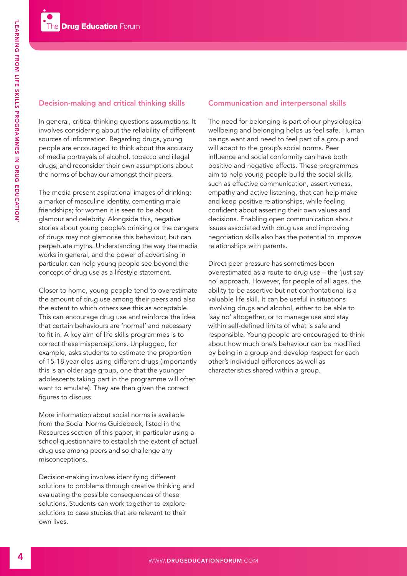# Decision-making and critical thinking skills

In general, critical thinking questions assumptions. It involves considering about the reliability of different sources of information. Regarding drugs, young people are encouraged to think about the accuracy of media portrayals of alcohol, tobacco and illegal drugs; and reconsider their own assumptions about the norms of behaviour amongst their peers.

The media present aspirational images of drinking: a marker of masculine identity, cementing male friendships; for women it is seen to be about glamour and celebrity. Alongside this, negative stories about young people's drinking or the dangers of drugs may not glamorise this behaviour, but can perpetuate myths. Understanding the way the media works in general, and the power of advertising in particular, can help young people see beyond the concept of drug use as a lifestyle statement.

Closer to home, young people tend to overestimate the amount of drug use among their peers and also the extent to which others see this as acceptable. This can encourage drug use and reinforce the idea that certain behaviours are 'normal' and necessary to fit in. A key aim of life skills programmes is to correct these misperceptions. Unplugged, for example, asks students to estimate the proportion of 15-18 year olds using different drugs (importantly this is an older age group, one that the younger adolescents taking part in the programme will often want to emulate). They are then given the correct figures to discuss.

More information about social norms is available from the Social Norms Guidebook, listed in the Resources section of this paper, in particular using a school questionnaire to establish the extent of actual drug use among peers and so challenge any misconceptions.

Decision-making involves identifying different solutions to problems through creative thinking and evaluating the possible consequences of these solutions. Students can work together to explore solutions to case studies that are relevant to their own lives.

## Communication and interpersonal skills

The need for belonging is part of our physiological wellbeing and belonging helps us feel safe. Human beings want and need to feel part of a group and will adapt to the group's social norms. Peer influence and social conformity can have both positive and negative effects. These programmes aim to help young people build the social skills, such as effective communication, assertiveness, empathy and active listening, that can help make and keep positive relationships, while feeling confident about asserting their own values and decisions. Enabling open communication about issues associated with drug use and improving negotiation skills also has the potential to improve relationships with parents.

Direct peer pressure has sometimes been overestimated as a route to drug use – the 'just say no' approach. However, for people of all ages, the ability to be assertive but not confrontational is a valuable life skill. It can be useful in situations involving drugs and alcohol, either to be able to 'say no' altogether, or to manage use and stay within self-defined limits of what is safe and responsible. Young people are encouraged to think about how much one's behaviour can be modified by being in a group and develop respect for each other's individual differences as well as characteristics shared within a group.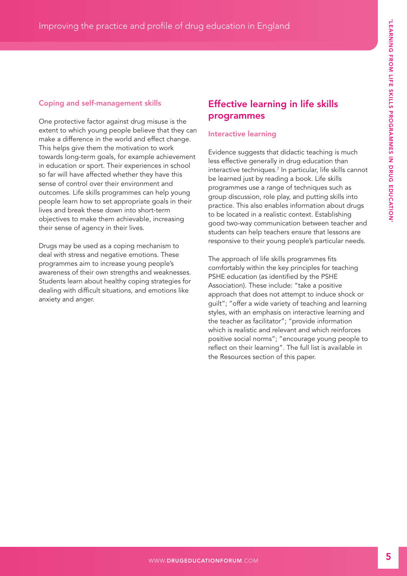# Coping and self-management skills

One protective factor against drug misuse is the extent to which young people believe that they can make a difference in the world and effect change. This helps give them the motivation to work towards long-term goals, for example achievement in education or sport. Their experiences in school so far will have affected whether they have this sense of control over their environment and outcomes. Life skills programmes can help young people learn how to set appropriate goals in their lives and break these down into short-term objectives to make them achievable, increasing their sense of agency in their lives.

Drugs may be used as a coping mechanism to deal with stress and negative emotions. These programmes aim to increase young people's awareness of their own strengths and weaknesses. Students learn about healthy coping strategies for dealing with difficult situations, and emotions like anxiety and anger.

# Effective learning in life skills programmes

# Interactive learning

Evidence suggests that didactic teaching is much less effective generally in drug education than interactive techniques.7 In particular, life skills cannot be learned just by reading a book. Life skills programmes use a range of techniques such as group discussion, role play, and putting skills into practice. This also enables information about drugs to be located in a realistic context. Establishing good two-way communication between teacher and students can help teachers ensure that lessons are responsive to their young people's particular needs.

The approach of life skills programmes fits comfortably within the key principles for teaching PSHE education (as identified by the PSHE Association). These include: "take a positive approach that does not attempt to induce shock or guilt"; "offer a wide variety of teaching and learning styles, with an emphasis on interactive learning and the teacher as facilitator"; "provide information which is realistic and relevant and which reinforces positive social norms"; "encourage young people to reflect on their learning". The full list is available in the Resources section of this paper.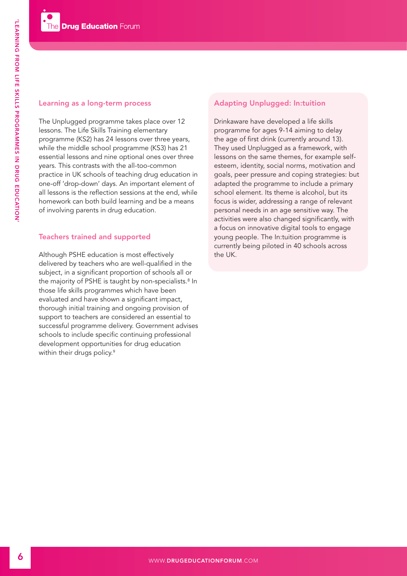### Learning as a long-term process

The Unplugged programme takes place over 12 lessons. The Life Skills Training elementary programme (KS2) has 24 lessons over three years, while the middle school programme (KS3) has 21 essential lessons and nine optional ones over three years. This contrasts with the all-too-common practice in UK schools of teaching drug education in one-off 'drop-down' days. An important element of all lessons is the reflection sessions at the end, while homework can both build learning and be a means of involving parents in drug education.

## Teachers trained and supported

Although PSHE education is most effectively delivered by teachers who are well-qualified in the subject, in a significant proportion of schools all or the majority of PSHE is taught by non-specialists.<sup>8</sup> In those life skills programmes which have been evaluated and have shown a significant impact, thorough initial training and ongoing provision of support to teachers are considered an essential to successful programme delivery. Government advises schools to include specific continuing professional development opportunities for drug education within their drugs policy.<sup>9</sup>

## Adapting Unplugged: In:tuition

Drinkaware have developed a life skills programme for ages 9-14 aiming to delay the age of first drink (currently around 13). They used Unplugged as a framework, with lessons on the same themes, for example selfesteem, identity, social norms, motivation and goals, peer pressure and coping strategies: but adapted the programme to include a primary school element. Its theme is alcohol, but its focus is wider, addressing a range of relevant personal needs in an age sensitive way. The activities were also changed significantly, with a focus on innovative digital tools to engage young people. The In:tuition programme is currently being piloted in 40 schools across the UK.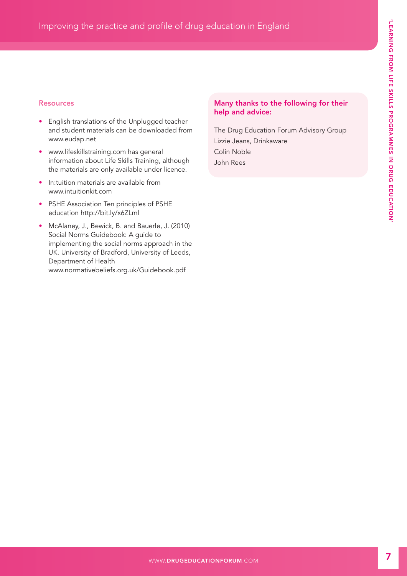## Resources

- English translations of the Unplugged teacher and student materials can be downloaded from [www.eudap.net](http://www.eudap.net)
- [www.lifeskillstraining.com ha](http://www.lifeskillstraining.com)s general information about Life Skills Training, although the materials are only available under licence.
- In:tuition materials are available from [www.intuitionkit.com](http://www.intuitionkit.com)
- PSHE Association Ten principles of PSHE education<http://bit.ly/x6ZLml>
- McAlaney, J., Bewick, B. and Bauerle, J. (2010) Social Norms Guidebook: A guide to implementing the social norms approach in the UK. University of Bradford, University of Leeds, Department of Health [www.normativebeliefs.org.uk/Guidebook.pdf](http://www.normativebeliefs.org.uk/Guidebook.pdf)

## Many thanks to the following for their help and advice:

The Drug Education Forum Advisory Group Lizzie Jeans, Drinkaware Colin Noble John Rees